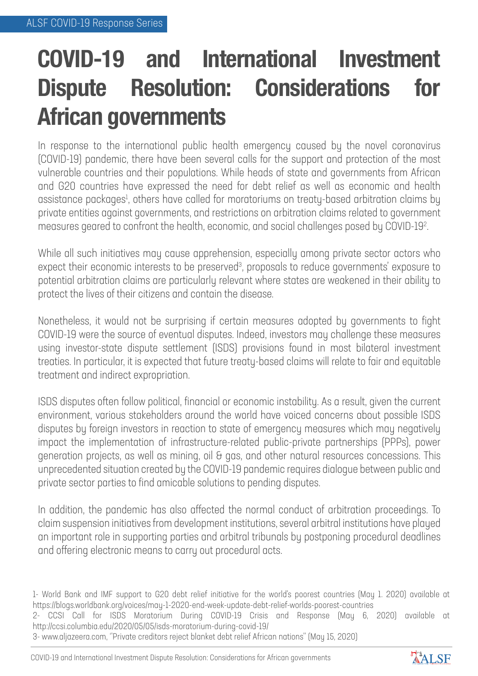## **COVID-19 and International Investment Dispute Resolution: Considerations for African governments**

In response to the international public health emergency caused by the novel coronavirus (COVID-19) pandemic, there have been several calls for the support and protection of the most vulnerable countries and their populations. While heads of state and governments from African and G20 countries have expressed the need for debt relief as well as economic and health assistance packages<sup>1</sup>, others have called for moratoriums on treaty-based arbitration claims by private entities against governments, and restrictions on arbitration claims related to government measures geared to confront the health, economic, and social challenges posed by COVID-192 .<br>.

While all such initiatives may cause apprehension, especially among private sector actors who expect their economic interests to be preserved<sup>3</sup>, proposals to reduce governments' exposure to potential arbitration claims are particularly relevant where states are weakened in their ability to protect the lives of their citizens and contain the disease.

Nonetheless, it would not be surprising if certain measures adopted by governments to fight COVID-19 were the source of eventual disputes. Indeed, investors may challenge these measures using investor-state dispute settlement (ISDS) provisions found in most bilateral investment treaties. In particular, it is expected that future treaty-based claims will relate to fair and equitable treatment and indirect expropriation.

ISDS disputes often follow political, financial or economic instability. As a result, given the current environment, various stakeholders around the world have voiced concerns about possible ISDS disputes by foreign investors in reaction to state of emergency measures which may negatively impact the implementation of infrastructure-related public-private partnerships (PPPs), power generation projects, as well as mining, oil & gas, and other natural resources concessions. This unprecedented situation created by the COVID-19 pandemic requires dialogue between public and private sector parties to find amicable solutions to pending disputes.

In addition, the pandemic has also affected the normal conduct of arbitration proceedings. To claim suspension initiatives from development institutions, several arbitral institutions have played an important role in supporting parties and arbitral tribunals by postponing procedural deadlines and offering electronic means to carry out procedural acts.



<sup>1-</sup> World Bank and IMF support to G20 debt relief initiative for the world's poorest countries (May 1. 2020) available at https://blogs.worldbank.org/voices/may-1-2020-end-week-update-debt-relief-worlds-poorest-countries

<sup>2-</sup> CCSI Call for ISDS Moratorium During COVID-19 Crisis and Response (May 6, 2020) available at http://ccsi.columbia.edu/2020/05/05/isds-moratorium-during-covid-19/

<sup>3-</sup> www.aljazeera.com, ''Private creditors reject blanket debt relief African nations'' (May 15, 2020)